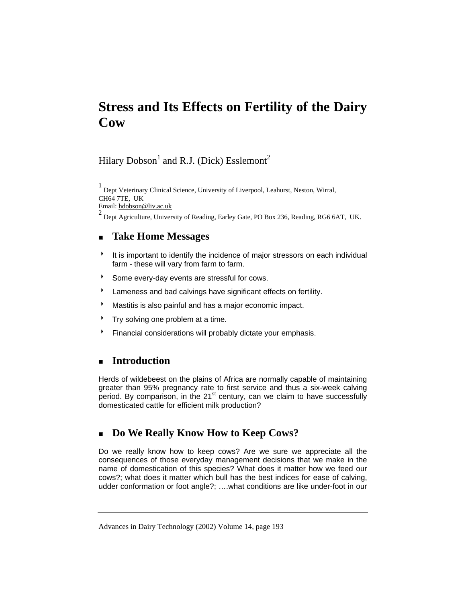# **Stress and Its Effects on Fertility of the Dairy Cow**

# Hilary Dobson<sup>1</sup> and R.J. (Dick) Esslemont<sup>2</sup>

1 Dept Veterinary Clinical Science, University of Liverpool, Leahurst, Neston, Wirral, CH64 7TE, UK Email: hdobson@liv.ac.uk

<sup>2</sup> Dept Agriculture, University of Reading, Earley Gate, PO Box 236, Reading, RG6 6AT, UK.

## **Take Home Messages**

- <sup>8</sup> It is important to identify the incidence of major stressors on each individual farm - these will vary from farm to farm.
- Some every-day events are stressful for cows.
- <sup>t</sup> Lameness and bad calvings have significant effects on fertility.
- **Mastitis is also painful and has a major economic impact.**
- $\uparrow$  Try solving one problem at a time.
- **Financial considerations will probably dictate your emphasis.**

### **Introduction**

Herds of wildebeest on the plains of Africa are normally capable of maintaining greater than 95% pregnancy rate to first service and thus a six-week calving period. By comparison, in the  $21<sup>st</sup>$  century, can we claim to have successfully domesticated cattle for efficient milk production?

### **Do We Really Know How to Keep Cows?**

Do we really know how to keep cows? Are we sure we appreciate all the consequences of those everyday management decisions that we make in the name of domestication of this species? What does it matter how we feed our cows?; what does it matter which bull has the best indices for ease of calving, udder conformation or foot angle?; ….what conditions are like under-foot in our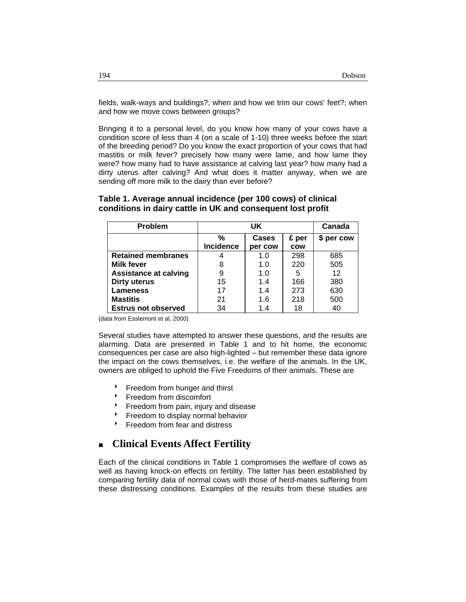fields, walk-ways and buildings?; when and how we trim our cows' feet?; when and how we move cows between groups?

Bringing it to a personal level, do you know how many of your cows have a condition score of less than 4 (on a scale of 1-10) three weeks before the start of the breeding period? Do you know the exact proportion of your cows that had mastitis or milk fever? precisely how many were lame, and how lame they were? how many had to have assistance at calving last year? how many had a dirty uterus after calving? And what does it matter anyway, when we are sending off more milk to the dairy than ever before?

#### **Table 1. Average annual incidence (per 100 cows) of clinical conditions in dairy cattle in UK and consequent lost profit**

| Problem                      | UK               |              |            | Canada     |
|------------------------------|------------------|--------------|------------|------------|
|                              | %                | <b>Cases</b> | £ per      | \$ per cow |
|                              | <b>Incidence</b> | per cow      | <b>COW</b> |            |
| <b>Retained membranes</b>    |                  | 1.0          | 298        | 685        |
| <b>Milk fever</b>            | 8                | 1.0          | 220        | 505        |
| <b>Assistance at calving</b> | 9                | 1.0          | 5          | 12         |
| <b>Dirty uterus</b>          | 15               | 1.4          | 166        | 380        |
| <b>Lameness</b>              | 17               | 1.4          | 273        | 630        |
| <b>Mastitis</b>              | 21               | 1.6          | 218        | 500        |
| <b>Estrus not observed</b>   | 34               | 1.4          | 18         | 40         |

(data from Esslemont et al, 2000)

Several studies have attempted to answer these questions, and the results are alarming. Data are presented in Table 1 and to hit home, the economic consequences per case are also high-lighted – but remember these data ignore the impact on the cows themselves, i.e. the welfare of the animals. In the UK, owners are obliged to uphold the Five Freedoms of their animals. These are

- **Freedom from hunger and thirst**
- Freedom from discomfort
- Freedom from pain, injury and disease
- Freedom to display normal behavior
- **Figure 1** Freedom from fear and distress

### **Clinical Events Affect Fertility**

Each of the clinical conditions in Table 1 compromises the welfare of cows as well as having knock-on effects on fertility. The latter has been established by comparing fertility data of normal cows with those of herd-mates suffering from these distressing conditions. Examples of the results from these studies are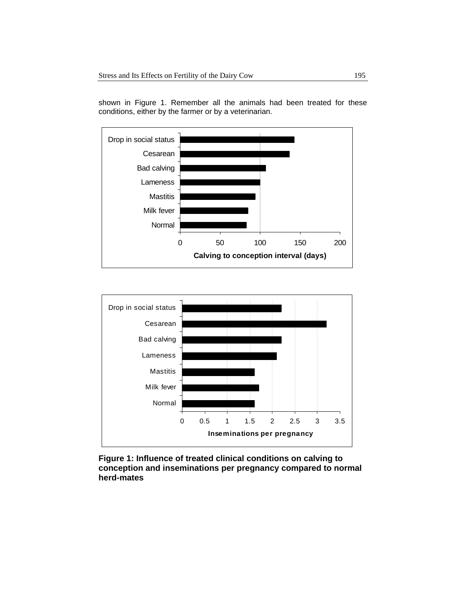

shown in Figure 1. Remember all the animals had been treated for these conditions, either by the farmer or by a veterinarian.



**Figure 1: Influence of treated clinical conditions on calving to conception and inseminations per pregnancy compared to normal herd-mates**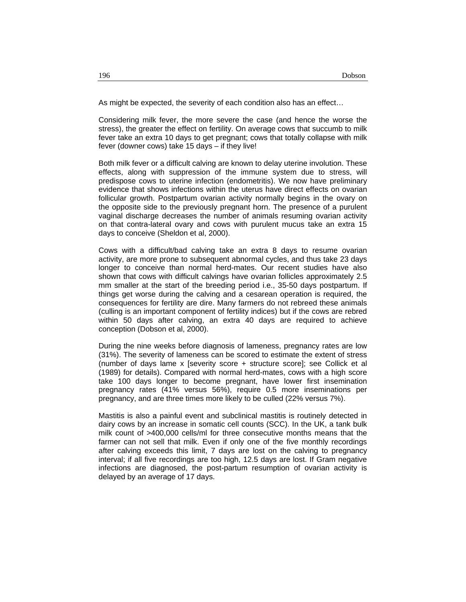As might be expected, the severity of each condition also has an effect…

Considering milk fever, the more severe the case (and hence the worse the stress), the greater the effect on fertility. On average cows that succumb to milk fever take an extra 10 days to get pregnant; cows that totally collapse with milk fever (downer cows) take 15 days – if they live!

Both milk fever or a difficult calving are known to delay uterine involution. These effects, along with suppression of the immune system due to stress, will predispose cows to uterine infection (endometritis). We now have preliminary evidence that shows infections within the uterus have direct effects on ovarian follicular growth. Postpartum ovarian activity normally begins in the ovary on the opposite side to the previously pregnant horn. The presence of a purulent vaginal discharge decreases the number of animals resuming ovarian activity on that contra-lateral ovary and cows with purulent mucus take an extra 15 days to conceive (Sheldon et al, 2000).

Cows with a difficult/bad calving take an extra 8 days to resume ovarian activity, are more prone to subsequent abnormal cycles, and thus take 23 days longer to conceive than normal herd-mates. Our recent studies have also shown that cows with difficult calvings have ovarian follicles approximately 2.5 mm smaller at the start of the breeding period i.e., 35-50 days postpartum. If things get worse during the calving and a cesarean operation is required, the consequences for fertility are dire. Many farmers do not rebreed these animals (culling is an important component of fertility indices) but if the cows are rebred within 50 days after calving, an extra 40 days are required to achieve conception (Dobson et al, 2000).

During the nine weeks before diagnosis of lameness, pregnancy rates are low (31%). The severity of lameness can be scored to estimate the extent of stress (number of days lame x [severity score + structure score]; see Collick et al (1989) for details). Compared with normal herd-mates, cows with a high score take 100 days longer to become pregnant, have lower first insemination pregnancy rates (41% versus 56%), require 0.5 more inseminations per pregnancy, and are three times more likely to be culled (22% versus 7%).

Mastitis is also a painful event and subclinical mastitis is routinely detected in dairy cows by an increase in somatic cell counts (SCC). In the UK, a tank bulk milk count of >400,000 cells/ml for three consecutive months means that the farmer can not sell that milk. Even if only one of the five monthly recordings after calving exceeds this limit, 7 days are lost on the calving to pregnancy interval; if all five recordings are too high, 12.5 days are lost. If Gram negative infections are diagnosed, the post-partum resumption of ovarian activity is delayed by an average of 17 days.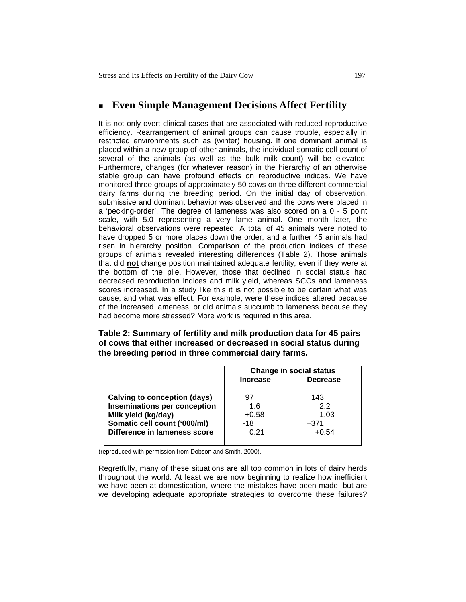### **Even Simple Management Decisions Affect Fertility**

It is not only overt clinical cases that are associated with reduced reproductive efficiency. Rearrangement of animal groups can cause trouble, especially in restricted environments such as (winter) housing. If one dominant animal is placed within a new group of other animals, the individual somatic cell count of several of the animals (as well as the bulk milk count) will be elevated. Furthermore, changes (for whatever reason) in the hierarchy of an otherwise stable group can have profound effects on reproductive indices. We have monitored three groups of approximately 50 cows on three different commercial dairy farms during the breeding period. On the initial day of observation, submissive and dominant behavior was observed and the cows were placed in a 'pecking-order'. The degree of lameness was also scored on a 0 - 5 point scale, with 5.0 representing a very lame animal. One month later, the behavioral observations were repeated. A total of 45 animals were noted to have dropped 5 or more places down the order, and a further 45 animals had risen in hierarchy position. Comparison of the production indices of these groups of animals revealed interesting differences (Table 2). Those animals that did **not** change position maintained adequate fertility, even if they were at the bottom of the pile. However, those that declined in social status had decreased reproduction indices and milk yield, whereas SCCs and lameness scores increased. In a study like this it is not possible to be certain what was cause, and what was effect. For example, were these indices altered because of the increased lameness, or did animals succumb to lameness because they had become more stressed? More work is required in this area.

**Table 2: Summary of fertility and milk production data for 45 pairs of cows that either increased or decreased in social status during the breeding period in three commercial dairy farms.** 

|                                     | <b>Change in social status</b> |                 |  |
|-------------------------------------|--------------------------------|-----------------|--|
|                                     | <b>Increase</b>                | <b>Decrease</b> |  |
|                                     |                                |                 |  |
| <b>Calving to conception (days)</b> | 97                             | 143             |  |
| Inseminations per conception        | 1.6                            | 22              |  |
| Milk yield (kg/day)                 | $+0.58$                        | $-1.03$         |  |
| Somatic cell count ('000/ml)        | $-18$                          | $+371$          |  |
| Difference in lameness score        | 0.21                           | $+0.54$         |  |
|                                     |                                |                 |  |

(reproduced with permission from Dobson and Smith, 2000).

Regretfully, many of these situations are all too common in lots of dairy herds throughout the world. At least we are now beginning to realize how inefficient we have been at domestication, where the mistakes have been made, but are we developing adequate appropriate strategies to overcome these failures?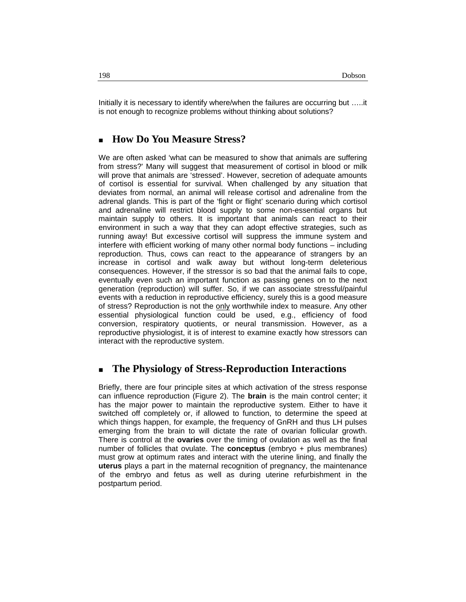Initially it is necessary to identify where/when the failures are occurring but …..it is not enough to recognize problems without thinking about solutions?

### **How Do You Measure Stress?**

We are often asked 'what can be measured to show that animals are suffering from stress?' Many will suggest that measurement of cortisol in blood or milk will prove that animals are 'stressed'. However, secretion of adequate amounts of cortisol is essential for survival. When challenged by any situation that deviates from normal, an animal will release cortisol and adrenaline from the adrenal glands. This is part of the 'fight or flight' scenario during which cortisol and adrenaline will restrict blood supply to some non-essential organs but maintain supply to others. It is important that animals can react to their environment in such a way that they can adopt effective strategies, such as running away! But excessive cortisol will suppress the immune system and interfere with efficient working of many other normal body functions – including reproduction. Thus, cows can react to the appearance of strangers by an increase in cortisol and walk away but without long-term deleterious consequences. However, if the stressor is so bad that the animal fails to cope, eventually even such an important function as passing genes on to the next generation (reproduction) will suffer. So, if we can associate stressful/painful events with a reduction in reproductive efficiency, surely this is a good measure of stress? Reproduction is not the only worthwhile index to measure. Any other essential physiological function could be used, e.g., efficiency of food conversion, respiratory quotients, or neural transmission. However, as a reproductive physiologist, it is of interest to examine exactly how stressors can interact with the reproductive system.

#### **The Physiology of Stress-Reproduction Interactions**

Briefly, there are four principle sites at which activation of the stress response can influence reproduction (Figure 2). The **brain** is the main control center; it has the major power to maintain the reproductive system. Either to have it switched off completely or, if allowed to function, to determine the speed at which things happen, for example, the frequency of GnRH and thus LH pulses emerging from the brain to will dictate the rate of ovarian follicular growth. There is control at the **ovaries** over the timing of ovulation as well as the final number of follicles that ovulate. The **conceptus** (embryo + plus membranes) must grow at optimum rates and interact with the uterine lining, and finally the **uterus** plays a part in the maternal recognition of pregnancy, the maintenance of the embryo and fetus as well as during uterine refurbishment in the postpartum period.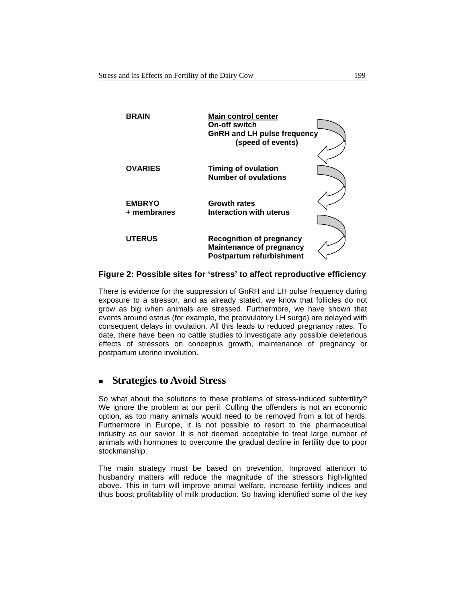| <b>BRAIN</b>                 | <b>Main control center</b><br>On-off switch<br><b>GnRH and LH pulse frequency</b><br>(speed of events) |  |
|------------------------------|--------------------------------------------------------------------------------------------------------|--|
| <b>OVARIES</b>               | <b>Timing of ovulation</b><br><b>Number of ovulations</b>                                              |  |
| <b>EMBRYO</b><br>+ membranes | <b>Growth rates</b><br>Interaction with uterus                                                         |  |
| <b>UTERUS</b>                | <b>Recognition of pregnancy</b><br><b>Maintenance of pregnancy</b><br>Postpartum refurbishment         |  |

#### **Figure 2: Possible sites for 'stress' to affect reproductive efficiency**

There is evidence for the suppression of GnRH and LH pulse frequency during exposure to a stressor, and as already stated, we know that follicles do not grow as big when animals are stressed. Furthermore, we have shown that events around estrus (for example, the preovulatory LH surge) are delayed with consequent delays in ovulation. All this leads to reduced pregnancy rates. To date, there have been no cattle studies to investigate any possible deleterious effects of stressors on conceptus growth, maintenance of pregnancy or postpartum uterine involution.

#### **Strategies to Avoid Stress**

So what about the solutions to these problems of stress-induced subfertility? We ignore the problem at our peril. Culling the offenders is not an economic option, as too many animals would need to be removed from a lot of herds. Furthermore in Europe, it is not possible to resort to the pharmaceutical industry as our savior. It is not deemed acceptable to treat large number of animals with hormones to overcome the gradual decline in fertility due to poor stockmanship.

The main strategy must be based on prevention. Improved attention to husbandry matters will reduce the magnitude of the stressors high-lighted above. This in turn will improve animal welfare, increase fertility indices and thus boost profitability of milk production. So having identified some of the key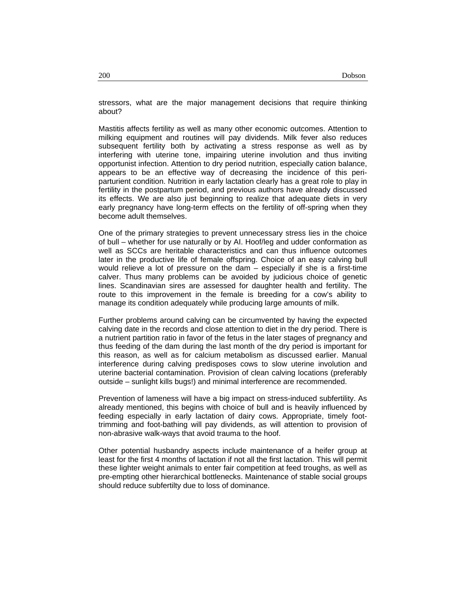stressors, what are the major management decisions that require thinking about?

Mastitis affects fertility as well as many other economic outcomes. Attention to milking equipment and routines will pay dividends. Milk fever also reduces subsequent fertility both by activating a stress response as well as by interfering with uterine tone, impairing uterine involution and thus inviting opportunist infection. Attention to dry period nutrition, especially cation balance, appears to be an effective way of decreasing the incidence of this periparturient condition. Nutrition in early lactation clearly has a great role to play in fertility in the postpartum period, and previous authors have already discussed its effects. We are also just beginning to realize that adequate diets in very early pregnancy have long-term effects on the fertility of off-spring when they become adult themselves.

One of the primary strategies to prevent unnecessary stress lies in the choice of bull – whether for use naturally or by AI. Hoof/leg and udder conformation as well as SCCs are heritable characteristics and can thus influence outcomes later in the productive life of female offspring. Choice of an easy calving bull would relieve a lot of pressure on the dam – especially if she is a first-time calver. Thus many problems can be avoided by judicious choice of genetic lines. Scandinavian sires are assessed for daughter health and fertility. The route to this improvement in the female is breeding for a cow's ability to manage its condition adequately while producing large amounts of milk.

Further problems around calving can be circumvented by having the expected calving date in the records and close attention to diet in the dry period. There is a nutrient partition ratio in favor of the fetus in the later stages of pregnancy and thus feeding of the dam during the last month of the dry period is important for this reason, as well as for calcium metabolism as discussed earlier. Manual interference during calving predisposes cows to slow uterine involution and uterine bacterial contamination. Provision of clean calving locations (preferably outside – sunlight kills bugs!) and minimal interference are recommended.

Prevention of lameness will have a big impact on stress-induced subfertility. As already mentioned, this begins with choice of bull and is heavily influenced by feeding especially in early lactation of dairy cows. Appropriate, timely foottrimming and foot-bathing will pay dividends, as will attention to provision of non-abrasive walk-ways that avoid trauma to the hoof.

Other potential husbandry aspects include maintenance of a heifer group at least for the first 4 months of lactation if not all the first lactation. This will permit these lighter weight animals to enter fair competition at feed troughs, as well as pre-empting other hierarchical bottlenecks. Maintenance of stable social groups should reduce subfertilty due to loss of dominance.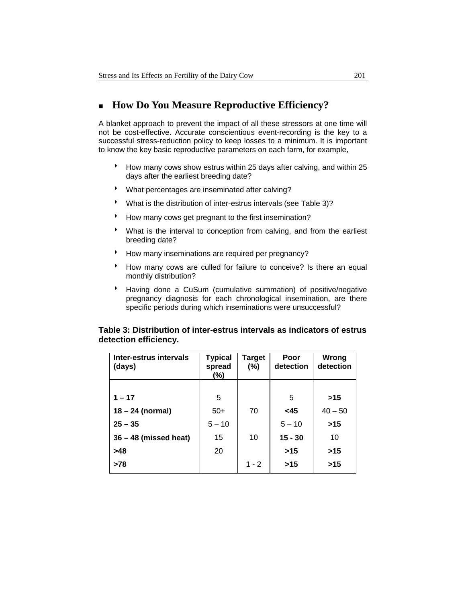### **How Do You Measure Reproductive Efficiency?**

A blanket approach to prevent the impact of all these stressors at one time will not be cost-effective. Accurate conscientious event-recording is the key to a successful stress-reduction policy to keep losses to a minimum. It is important to know the key basic reproductive parameters on each farm, for example,

- <sup>8</sup> How many cows show estrus within 25 days after calving, and within 25 days after the earliest breeding date?
- \* What percentages are inseminated after calving?
- \* What is the distribution of inter-estrus intervals (see Table 3)?
- <sup>t</sup> How many cows get pregnant to the first insemination?
- 8 What is the interval to conception from calving, and from the earliest breeding date?
- \* How many inseminations are required per pregnancy?
- \* How many cows are culled for failure to conceive? Is there an equal monthly distribution?
- <sup>\*</sup> Having done a CuSum (cumulative summation) of positive/negative pregnancy diagnosis for each chronological insemination, are there specific periods during which inseminations were unsuccessful?

#### **Table 3: Distribution of inter-estrus intervals as indicators of estrus detection efficiency.**

| Inter-estrus intervals<br>(days) | <b>Typical</b><br>spread<br>(%) | <b>Target</b><br>$(\% )$ | Poor<br>detection | Wrong<br>detection |
|----------------------------------|---------------------------------|--------------------------|-------------------|--------------------|
|                                  |                                 |                          |                   |                    |
| $1 - 17$                         | 5                               |                          | 5                 | >15                |
| $18 - 24$ (normal)               | $50+$                           | 70                       | $<$ 45            | $40 - 50$          |
| $25 - 35$                        | $5 - 10$                        |                          | $5 - 10$          | $>15$              |
| $36 - 48$ (missed heat)          | 15                              | 10                       | $15 - 30$         | 10                 |
| >48                              | 20                              |                          | $>15$             | >15                |
| $>78$                            |                                 | $1 - 2$                  | >15               | >15                |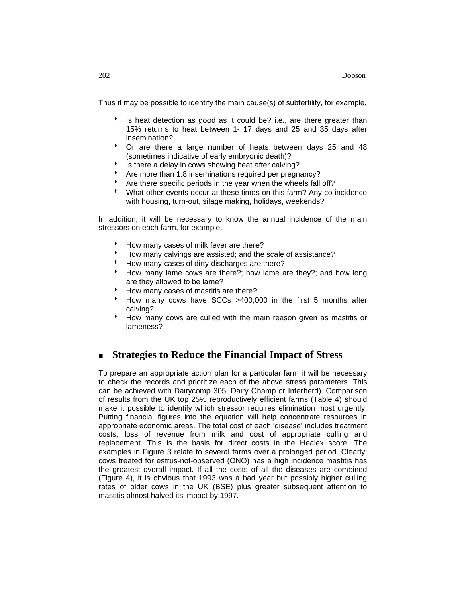Thus it may be possible to identify the main cause(s) of subfertility, for example,

- Is heat detection as good as it could be? i.e., are there greater than 15% returns to heat between 1- 17 days and 25 and 35 days after insemination?
- \* Or are there a large number of heats between days 25 and 48 (sometimes indicative of early embryonic death)?
- Is there a delay in cows showing heat after calving?
- Are more than 1.8 inseminations required per pregnancy?
- Are there specific periods in the year when the wheels fall off?
- What other events occur at these times on this farm? Any co-incidence with housing, turn-out, silage making, holidays, weekends?

In addition, it will be necessary to know the annual incidence of the main stressors on each farm, for example,

- How many cases of milk fever are there?
- <sup>t</sup> How many calvings are assisted; and the scale of assistance?
- How many cases of dirty discharges are there?
- How many lame cows are there?; how lame are they?; and how long are they allowed to be lame?
- How many cases of mastitis are there?
- How many cows have SCCs >400,000 in the first 5 months after calving?
- How many cows are culled with the main reason given as mastitis or lameness?

### **Strategies to Reduce the Financial Impact of Stress**

To prepare an appropriate action plan for a particular farm it will be necessary to check the records and prioritize each of the above stress parameters. This can be achieved with Dairycomp 305, Dairy Champ or Interherd). Comparison of results from the UK top 25% reproductively efficient farms (Table 4) should make it possible to identify which stressor requires elimination most urgently. Putting financial figures into the equation will help concentrate resources in appropriate economic areas. The total cost of each 'disease' includes treatment costs, loss of revenue from milk and cost of appropriate culling and replacement. This is the basis for direct costs in the Healex score. The examples in Figure 3 relate to several farms over a prolonged period. Clearly, cows treated for estrus-not-observed (ONO) has a high incidence mastitis has the greatest overall impact. If all the costs of all the diseases are combined (Figure 4), it is obvious that 1993 was a bad year but possibly higher culling rates of older cows in the UK (BSE) plus greater subsequent attention to mastitis almost halved its impact by 1997.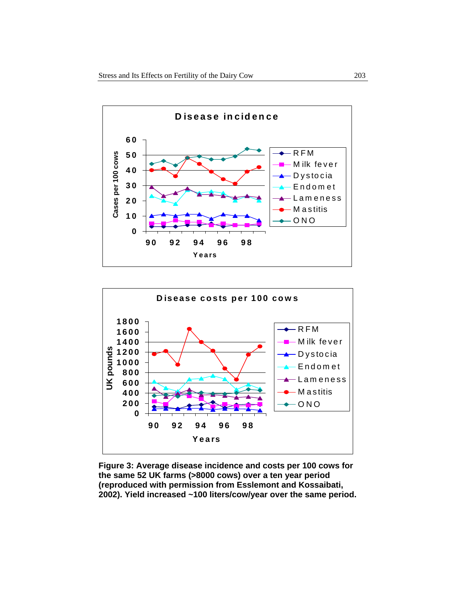



**Figure 3: Average disease incidence and costs per 100 cows for the same 52 UK farms (>8000 cows) over a ten year period (reproduced with permission from Esslemont and Kossaibati, 2002). Yield increased ~100 liters/cow/year over the same period.**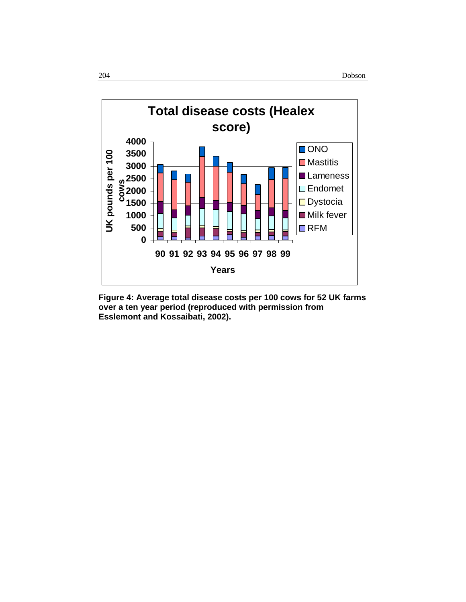

**Figure 4: Average total disease costs per 100 cows for 52 UK farms over a ten year period (reproduced with permission from Esslemont and Kossaibati, 2002).**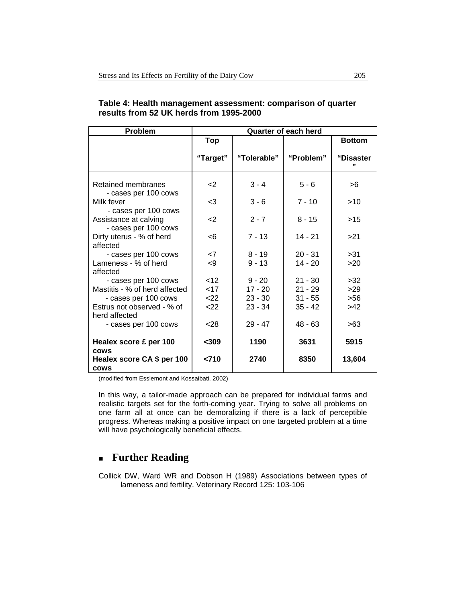| Problem                                       | <b>Quarter of each herd</b> |             |           |                |
|-----------------------------------------------|-----------------------------|-------------|-----------|----------------|
|                                               | <b>Top</b>                  |             |           | <b>Bottom</b>  |
|                                               | "Target"                    | "Tolerable" | "Problem" | "Disaster<br>" |
| Retained membranes<br>- cases per 100 cows    | <2                          | $3 - 4$     | $5 - 6$   | >6             |
| Milk fever<br>- cases per 100 cows            | -3                          | $3 - 6$     | $7 - 10$  | >10            |
| Assistance at calving<br>- cases per 100 cows | $\leq$                      | $2 - 7$     | $8 - 15$  | >15            |
| Dirty uterus - % of herd<br>affected          | -6                          | $7 - 13$    | $14 - 21$ | >21            |
| - cases per 100 cows                          | $\leq 7$                    | $8 - 19$    | $20 - 31$ | >31            |
| Lameness - % of herd<br>affected              | -9                          | $9 - 13$    | $14 - 20$ | >20            |
| - cases per 100 cows                          | < 12                        | $9 - 20$    | $21 - 30$ | >32            |
| Mastitis - % of herd affected                 | $<$ 17                      | $17 - 20$   | $21 - 29$ | >29            |
| - cases per 100 cows                          | 22                          | $23 - 30$   | $31 - 55$ | $>56$          |
| Estrus not observed - % of<br>herd affected   | 22                          | $23 - 34$   | $35 - 42$ | >42            |
| - cases per 100 cows                          | < 28                        | $29 - 47$   | $48 - 63$ | >63            |
| Healex score £ per 100<br><b>COWS</b>         | $309$                       | 1190        | 3631      | 5915           |
| Healex score CA \$ per 100<br><b>COWS</b>     | < 710                       | 2740        | 8350      | 13,604         |

#### **Table 4: Health management assessment: comparison of quarter results from 52 UK herds from 1995-2000**

(modified from Esslemont and Kossaibati, 2002)

In this way, a tailor-made approach can be prepared for individual farms and realistic targets set for the forth-coming year. Trying to solve all problems on one farm all at once can be demoralizing if there is a lack of perceptible progress. Whereas making a positive impact on one targeted problem at a time will have psychologically beneficial effects.

# **Further Reading**

Collick DW, Ward WR and Dobson H (1989) Associations between types of lameness and fertility. Veterinary Record 125: 103-106